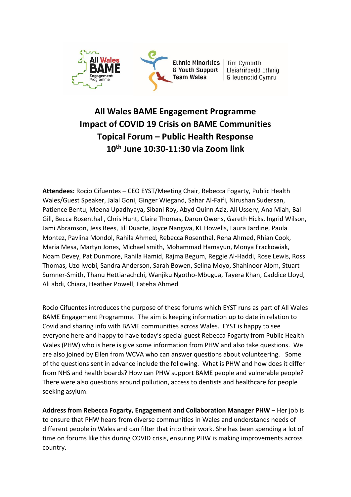

# **All Wales BAME Engagement Programme Impact of COVID 19 Crisis on BAME Communities Topical Forum – Public Health Response 10th June 10:30-11:30 via Zoom link**

**Attendees:** Rocio Cifuentes – CEO EYST/Meeting Chair, Rebecca Fogarty, Public Health Wales/Guest Speaker, Jalal Goni, Ginger Wiegand, Sahar Al-Faifi, Nirushan Sudersan, Patience Bentu, Meena Upadhyaya, Sibani Roy, Abyd Quinn Aziz, Ali Ussery, Ana Miah, Bal Gill, Becca Rosenthal , Chris Hunt, Claire Thomas, Daron Owens, Gareth Hicks, Ingrid Wilson, Jami Abramson, Jess Rees, Jill Duarte, Joyce Nangwa, KL Howells, Laura Jardine, Paula Montez, Pavlina Mondol, Rahila Ahmed, Rebecca Rosenthal, Rena Ahmed, Rhian Cook, Maria Mesa, Martyn Jones, Michael smith, Mohammad Hamayun, Monya Frackowiak, Noam Devey, Pat Dunmore, Rahila Hamid, Rajma Begum, Reggie Al-Haddi, Rose Lewis, Ross Thomas, Uzo Iwobi, Sandra Anderson, Sarah Bowen, Selina Moyo, Shahinoor Alom, Stuart Sumner-Smith, Thanu Hettiarachchi, Wanjiku Ngotho-Mbugua, Tayera Khan, Caddice Lloyd, Ali abdi, Chiara, Heather Powell, Fateha Ahmed

Rocio Cifuentes introduces the purpose of these forums which EYST runs as part of All Wales BAME Engagement Programme. The aim is keeping information up to date in relation to Covid and sharing info with BAME communities across Wales. EYST is happy to see everyone here and happy to have today's special guest Rebecca Fogarty from Public Health Wales (PHW) who is here is give some information from PHW and also take questions. We are also joined by Ellen from WCVA who can answer questions about volunteering. Some of the questions sent in advance include the following. What is PHW and how does it differ from NHS and health boards? How can PHW support BAME people and vulnerable people? There were also questions around pollution, access to dentists and healthcare for people seeking asylum.

**Address from Rebecca Fogarty, Engagement and Collaboration Manager PHW** – Her job is to ensure that PHW hears from diverse communities in Wales and understands needs of different people in Wales and can filter that into their work. She has been spending a lot of time on forums like this during COVID crisis, ensuring PHW is making improvements across country.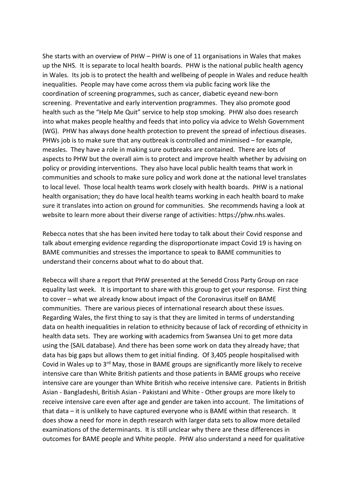She starts with an overview of PHW – PHW is one of 11 organisations in Wales that makes up the NHS. It is separate to local health boards. PHW is the national public health agency in Wales. Its job is to protect the health and wellbeing of people in Wales and reduce health inequalities. People may have come across them via public facing work like the coordination of screening programmes, such as cancer, diabetic eyeand new-born screening. Preventative and early intervention programmes. They also promote good health such as the "Help Me Quit" service to help stop smoking. PHW also does research into what makes people healthy and feeds that into policy via advice to Welsh Government (WG). PHW has always done health protection to prevent the spread of infectious diseases. PHWs job is to make sure that any outbreak is controlled and minimised – for example, measles. They have a role in making sure outbreaks are contained. There are lots of aspects to PHW but the overall aim is to protect and improve health whether by advising on policy or providing interventions. They also have local public health teams that work in communities and schools to make sure policy and work done at the national level translates to local level. Those local health teams work closely with health boards. PHW is a national health organisation; they do have local health teams working in each health board to make sure it translates into action on ground for communities. She recommends having a look at website to learn more about their diverse range of activities: https://phw.nhs.wales.

Rebecca notes that she has been invited here today to talk about their Covid response and talk about emerging evidence regarding the disproportionate impact Covid 19 is having on BAME communities and stresses the importance to speak to BAME communities to understand their concerns about what to do about that.

Rebecca will share a report that PHW presented at the Senedd Cross Party Group on race equality last week. It is important to share with this group to get your response. First thing to cover – what we already know about impact of the Coronavirus itself on BAME communities. There are various pieces of international research about these issues. Regarding Wales, the first thing to say is that they are limited in terms of understanding data on health inequalities in relation to ethnicity because of lack of recording of ethnicity in health data sets. They are working with academics from Swansea Uni to get more data using the {SAIL database}. And there has been some work on data they already have; that data has big gaps but allows them to get initial finding. Of 3,405 people hospitalised with Covid in Wales up to 3<sup>rd</sup> May, those in BAME groups are significantly more likely to receive intensive care than White British patients and those patients in BAME groups who receive intensive care are younger than White British who receive intensive care. Patients in British Asian - Bangladeshi, British Asian - Pakistani and White - Other groups are more likely to receive intensive care even after age and gender are taken into account. The limitations of that data – it is unlikely to have captured everyone who is BAME within that research. It does show a need for more in depth research with larger data sets to allow more detailed examinations of the determinants. It is still unclear why there are these differences in outcomes for BAME people and White people. PHW also understand a need for qualitative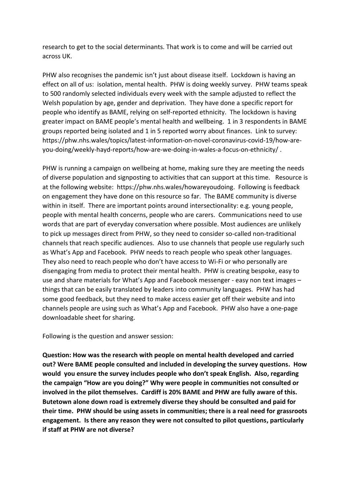research to get to the social determinants. That work is to come and will be carried out across UK.

PHW also recognises the pandemic isn't just about disease itself. Lockdown is having an effect on all of us: isolation, mental health. PHW is doing weekly survey. PHW teams speak to 500 randomly selected individuals every week with the sample adjusted to reflect the Welsh population by age, gender and deprivation. They have done a specific report for people who identify as BAME, relying on self-reported ethnicity. The lockdown is having greater impact on BAME people's mental health and wellbeing. 1 in 3 respondents in BAME groups reported being isolated and 1 in 5 reported worry about finances. Link to survey: https://phw.nhs.wales/topics/latest-information-on-novel-coronavirus-covid-19/how-areyou-doing/weekly-hayd-reports/how-are-we-doing-in-wales-a-focus-on-ethnicity/ .

PHW is running a campaign on wellbeing at home, making sure they are meeting the needs of diverse population and signposting to activities that can support at this time. Resource is at the following website: https://phw.nhs.wales/howareyoudoing. Following is feedback on engagement they have done on this resource so far. The BAME community is diverse within in itself. There are important points around intersectionality: e.g. young people, people with mental health concerns, people who are carers. Communications need to use words that are part of everyday conversation where possible. Most audiences are unlikely to pick up messages direct from PHW, so they need to consider so-called non-traditional channels that reach specific audiences. Also to use channels that people use regularly such as What's App and Facebook. PHW needs to reach people who speak other languages. They also need to reach people who don't have access to Wi-Fi or who personally are disengaging from media to protect their mental health. PHW is creating bespoke, easy to use and share materials for What's App and Facebook messenger - easy non text images – things that can be easily translated by leaders into community languages. PHW has had some good feedback, but they need to make access easier get off their website and into channels people are using such as What's App and Facebook. PHW also have a one-page downloadable sheet for sharing.

Following is the question and answer session:

**Question: How was the research with people on mental health developed and carried out? Were BAME people consulted and included in developing the survey questions. How would you ensure the survey includes people who don't speak English. Also, regarding the campaign "How are you doing?" Why were people in communities not consulted or involved in the pilot themselves. Cardiff is 20% BAME and PHW are fully aware of this. Butetown alone down road is extremely diverse they should be consulted and paid for their time. PHW should be using assets in communities; there is a real need for grassroots engagement. Is there any reason they were not consulted to pilot questions, particularly if staff at PHW are not diverse?**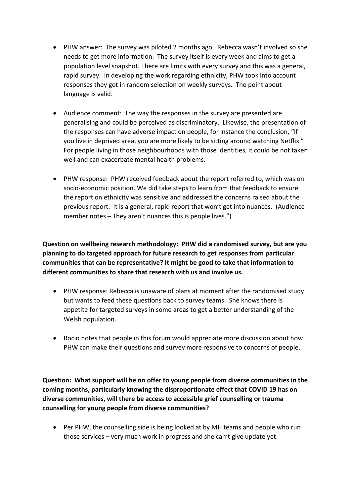- PHW answer: The survey was piloted 2 months ago. Rebecca wasn't involved so she needs to get more information. The survey itself is every week and aims to get a population level snapshot. There are limits with every survey and this was a general, rapid survey. In developing the work regarding ethnicity, PHW took into account responses they got in random selection on weekly surveys. The point about language is valid.
- Audience comment: The way the responses in the survey are presented are generalising and could be perceived as discriminatory. Likewise, the presentation of the responses can have adverse impact on people, for instance the conclusion, "If you live in deprived area, you are more likely to be sitting around watching Netflix." For people living in those neighbourhoods with those identities, it could be not taken well and can exacerbate mental health problems.
- PHW response: PHW received feedback about the report referred to, which was on socio-economic position. We did take steps to learn from that feedback to ensure the report on ethnicity was sensitive and addressed the concerns raised about the previous report. It is a general, rapid report that won't get into nuances. (Audience member notes – They aren't nuances this is people lives.")

**Question on wellbeing research methodology: PHW did a randomised survey, but are you planning to do targeted approach for future research to get responses from particular communities that can be representative? It might be good to take that information to different communities to share that research with us and involve us.** 

- PHW response: Rebecca is unaware of plans at moment after the randomised study but wants to feed these questions back to survey teams. She knows there is appetite for targeted surveys in some areas to get a better understanding of the Welsh population.
- Rocio notes that people in this forum would appreciate more discussion about how PHW can make their questions and survey more responsive to concerns of people.

**Question: What support will be on offer to young people from diverse communities in the coming months, particularly knowing the disproportionate effect that COVID 19 has on diverse communities, will there be access to accessible grief counselling or trauma counselling for young people from diverse communities?**

• Per PHW, the counselling side is being looked at by MH teams and people who run those services – very much work in progress and she can't give update yet.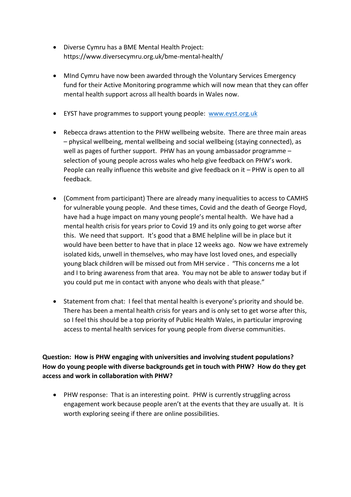- Diverse Cymru has a BME Mental Health Project: https://www.diversecymru.org.uk/bme-mental-health/
- MInd Cymru have now been awarded through the Voluntary Services Emergency fund for their Active Monitoring programme which will now mean that they can offer mental health support across all health boards in Wales now.
- EYST have programmes to support young people: [www.eyst.org.uk](http://www.eyst.org.uk/)
- Rebecca draws attention to the PHW wellbeing website. There are three main areas – physical wellbeing, mental wellbeing and social wellbeing (staying connected), as well as pages of further support. PHW has an young ambassador programme – selection of young people across wales who help give feedback on PHW's work. People can really influence this website and give feedback on it – PHW is open to all feedback.
- (Comment from participant) There are already many inequalities to access to CAMHS for vulnerable young people. And these times, Covid and the death of George Floyd, have had a huge impact on many young people's mental health. We have had a mental health crisis for years prior to Covid 19 and its only going to get worse after this. We need that support. It's good that a BME helpline will be in place but it would have been better to have that in place 12 weeks ago. Now we have extremely isolated kids, unwell in themselves, who may have lost loved ones, and especially young black children will be missed out from MH service . "This concerns me a lot and I to bring awareness from that area. You may not be able to answer today but if you could put me in contact with anyone who deals with that please."
- Statement from chat: I feel that mental health is everyone's priority and should be. There has been a mental health crisis for years and is only set to get worse after this, so I feel this should be a top priority of Public Health Wales, in particular improving access to mental health services for young people from diverse communities.

**Question: How is PHW engaging with universities and involving student populations? How do young people with diverse backgrounds get in touch with PHW? How do they get access and work in collaboration with PHW?**

• PHW response: That is an interesting point. PHW is currently struggling across engagement work because people aren't at the events that they are usually at. It is worth exploring seeing if there are online possibilities.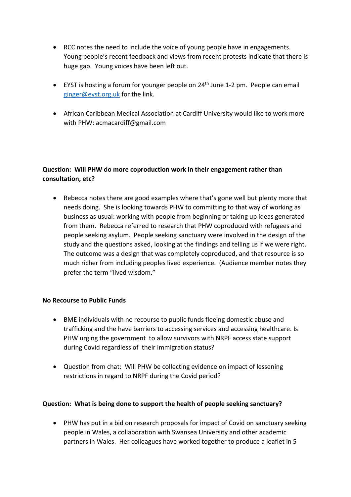- RCC notes the need to include the voice of young people have in engagements. Young people's recent feedback and views from recent protests indicate that there is huge gap. Young voices have been left out.
- EYST is hosting a forum for younger people on  $24<sup>th</sup>$  June 1-2 pm. People can email [ginger@eyst.org.uk](mailto:ginger@eyst.org.uk) for the link.
- African Caribbean Medical Association at Cardiff University would like to work more with PHW: acmacardiff@gmail.com

## **Question: Will PHW do more coproduction work in their engagement rather than consultation, etc?**

• Rebecca notes there are good examples where that's gone well but plenty more that needs doing. She is looking towards PHW to committing to that way of working as business as usual: working with people from beginning or taking up ideas generated from them. Rebecca referred to research that PHW coproduced with refugees and people seeking asylum. People seeking sanctuary were involved in the design of the study and the questions asked, looking at the findings and telling us if we were right. The outcome was a design that was completely coproduced, and that resource is so much richer from including peoples lived experience. (Audience member notes they prefer the term "lived wisdom."

#### **No Recourse to Public Funds**

- BME individuals with no recourse to public funds fleeing domestic abuse and trafficking and the have barriers to accessing services and accessing healthcare. Is PHW urging the government to allow survivors with NRPF access state support during Covid regardless of their immigration status?
- Question from chat: Will PHW be collecting evidence on impact of lessening restrictions in regard to NRPF during the Covid period?

#### **Question: What is being done to support the health of people seeking sanctuary?**

• PHW has put in a bid on research proposals for impact of Covid on sanctuary seeking people in Wales, a collaboration with Swansea University and other academic partners in Wales. Her colleagues have worked together to produce a leaflet in 5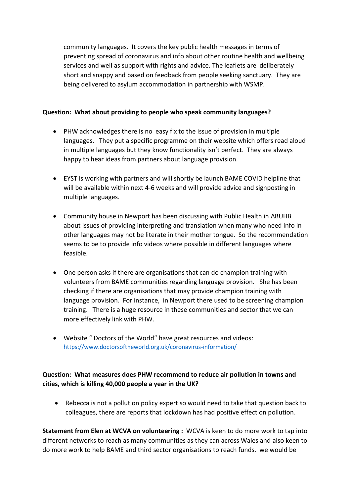community languages. It covers the key public health messages in terms of preventing spread of coronavirus and info about other routine health and wellbeing services and well as support with rights and advice. The leaflets are deliberately short and snappy and based on feedback from people seeking sanctuary. They are being delivered to asylum accommodation in partnership with WSMP.

### **Question: What about providing to people who speak community languages?**

- PHW acknowledges there is no easy fix to the issue of provision in multiple languages. They put a specific programme on their website which offers read aloud in multiple languages but they know functionality isn't perfect. They are always happy to hear ideas from partners about language provision.
- EYST is working with partners and will shortly be launch BAME COVID helpline that will be available within next 4-6 weeks and will provide advice and signposting in multiple languages.
- Community house in Newport has been discussing with Public Health in ABUHB about issues of providing interpreting and translation when many who need info in other languages may not be literate in their mother tongue. So the recommendation seems to be to provide info videos where possible in different languages where feasible.
- One person asks if there are organisations that can do champion training with volunteers from BAME communities regarding language provision. She has been checking if there are organisations that may provide champion training with language provision. For instance, in Newport there used to be screening champion training. There is a huge resource in these communities and sector that we can more effectively link with PHW.
- Website " Doctors of the World" have great resources and videos: <https://www.doctorsoftheworld.org.uk/coronavirus-information/>

**Question: What measures does PHW recommend to reduce air pollution in towns and cities, which is killing 40,000 people a year in the UK?**

• Rebecca is not a pollution policy expert so would need to take that question back to colleagues, there are reports that lockdown has had positive effect on pollution.

**Statement from Elen at WCVA on volunteering :** WCVA is keen to do more work to tap into different networks to reach as many communities as they can across Wales and also keen to do more work to help BAME and third sector organisations to reach funds. we would be